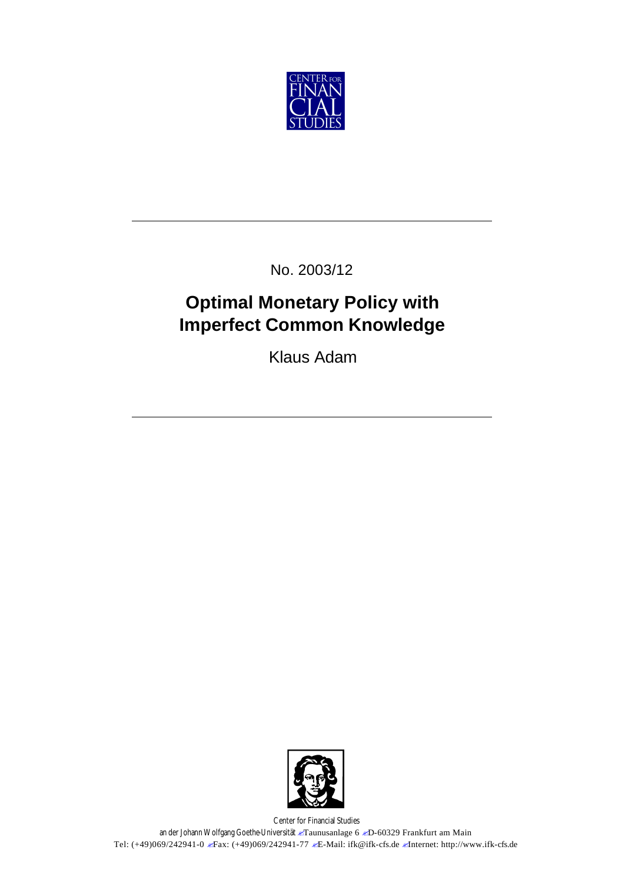

No. 2003/12

# **Optimal Monetary Policy with Imperfect Common Knowledge**

Klaus Adam



Center for Financial Studies an der Johann Wolfgang Goethe-Universität *E*Taunusanlage 6 *ED*-60329 Frankfurt am Main Tel: (+49)069/242941-0  $\blacktriangleright$  Fax: (+49)069/242941-77  $\blacktriangleright$  E-Mail: ifk@ifk-cfs.de  $\blacktriangleright$ Internet: http://www.ifk-cfs.de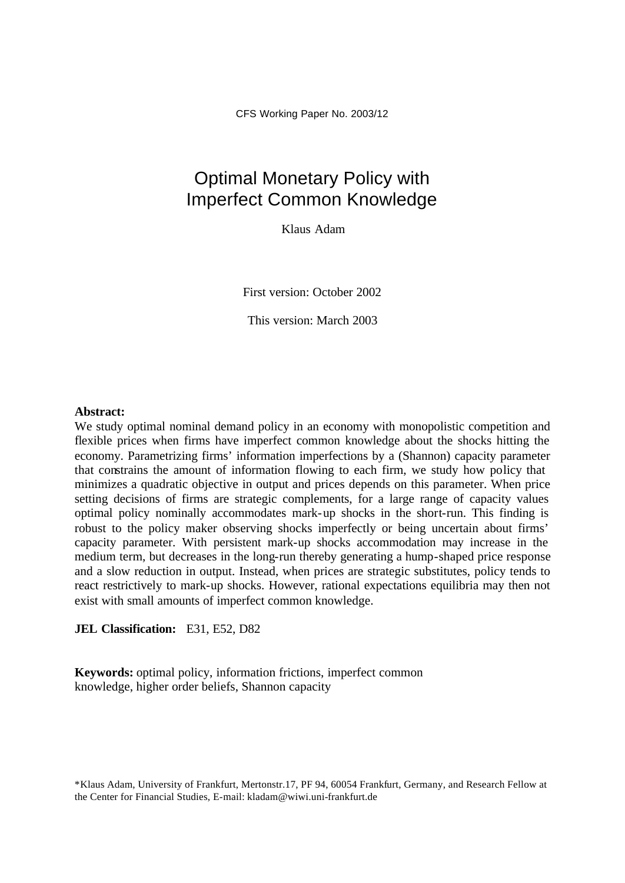CFS Working Paper No. 2003/12

## Optimal Monetary Policy with Imperfect Common Knowledge

Klaus Adam

First version: October 2002

This version: March 2003

#### **Abstract:**

We study optimal nominal demand policy in an economy with monopolistic competition and flexible prices when firms have imperfect common knowledge about the shocks hitting the economy. Parametrizing firms' information imperfections by a (Shannon) capacity parameter that constrains the amount of information flowing to each firm, we study how policy that minimizes a quadratic objective in output and prices depends on this parameter. When price setting decisions of firms are strategic complements, for a large range of capacity values optimal policy nominally accommodates mark-up shocks in the short-run. This finding is robust to the policy maker observing shocks imperfectly or being uncertain about firms' capacity parameter. With persistent mark-up shocks accommodation may increase in the medium term, but decreases in the long-run thereby generating a hump-shaped price response and a slow reduction in output. Instead, when prices are strategic substitutes, policy tends to react restrictively to mark-up shocks. However, rational expectations equilibria may then not exist with small amounts of imperfect common knowledge.

**JEL Classification:** E31, E52, D82

**Keywords:** optimal policy, information frictions, imperfect common knowledge, higher order beliefs, Shannon capacity

\*Klaus Adam, University of Frankfurt, Mertonstr.17, PF 94, 60054 Frankfurt, Germany, and Research Fellow at the Center for Financial Studies, E-mail: kladam@wiwi.uni-frankfurt.de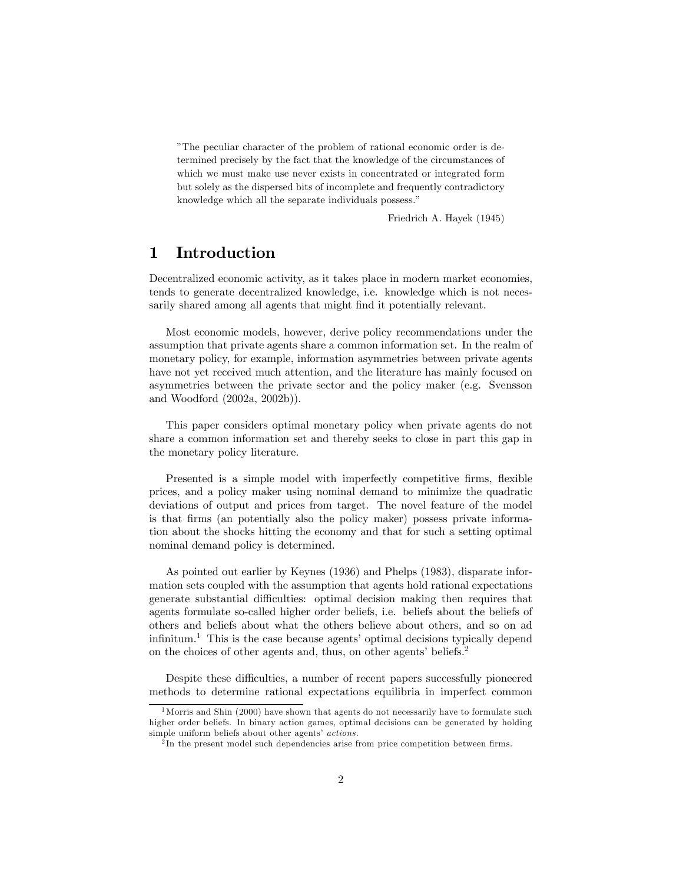"The peculiar character of the problem of rational economic order is determined precisely by the fact that the knowledge of the circumstances of which we must make use never exists in concentrated or integrated form but solely as the dispersed bits of incomplete and frequently contradictory knowledge which all the separate individuals possess."

Friedrich A. Hayek (1945)

### 1 Introduction

Decentralized economic activity, as it takes place in modern market economies, tends to generate decentralized knowledge, i.e. knowledge which is not necessarily shared among all agents that might find it potentially relevant.

Most economic models, however, derive policy recommendations under the assumption that private agents share a common information set. In the realm of monetary policy, for example, information asymmetries between private agents have not yet received much attention, and the literature has mainly focused on asymmetries between the private sector and the policy maker (e.g. Svensson and Woodford (2002a, 2002b)).

This paper considers optimal monetary policy when private agents do not share a common information set and thereby seeks to close in part this gap in the monetary policy literature.

Presented is a simple model with imperfectly competitive firms, flexible prices, and a policy maker using nominal demand to minimize the quadratic deviations of output and prices from target. The novel feature of the model is that firms (an potentially also the policy maker) possess private information about the shocks hitting the economy and that for such a setting optimal nominal demand policy is determined.

As pointed out earlier by Keynes (1936) and Phelps (1983), disparate information sets coupled with the assumption that agents hold rational expectations generate substantial difficulties: optimal decision making then requires that agents formulate so-called higher order beliefs, i.e. beliefs about the beliefs of others and beliefs about what the others believe about others, and so on ad infinitum.<sup>1</sup> This is the case because agents' optimal decisions typically depend on the choices of other agents and, thus, on other agents' beliefs.2

Despite these difficulties, a number of recent papers successfully pioneered methods to determine rational expectations equilibria in imperfect common

 $1$ Morris and Shin (2000) have shown that agents do not necessarily have to formulate such higher order beliefs. In binary action games, optimal decisions can be generated by holding simple uniform beliefs about other agents' *actions*.

<sup>&</sup>lt;sup>2</sup>In the present model such dependencies arise from price competition between firms.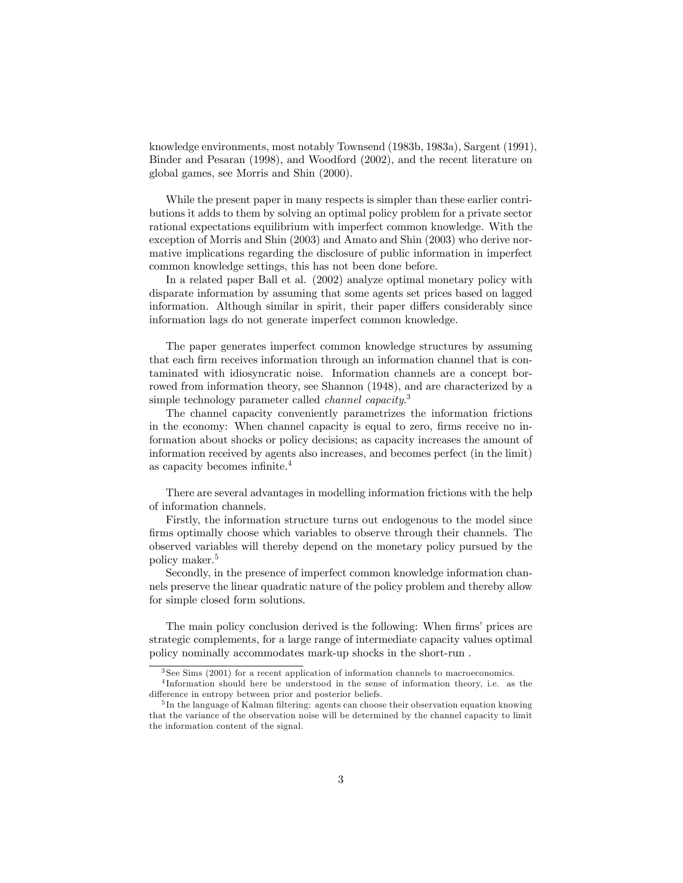knowledge environments, most notably Townsend (1983b, 1983a), Sargent (1991), Binder and Pesaran (1998), and Woodford (2002), and the recent literature on global games, see Morris and Shin (2000).

While the present paper in many respects is simpler than these earlier contributions it adds to them by solving an optimal policy problem for a private sector rational expectations equilibrium with imperfect common knowledge. With the exception of Morris and Shin (2003) and Amato and Shin (2003) who derive normative implications regarding the disclosure of public information in imperfect common knowledge settings, this has not been done before.

In a related paper Ball et al. (2002) analyze optimal monetary policy with disparate information by assuming that some agents set prices based on lagged information. Although similar in spirit, their paper differs considerably since information lags do not generate imperfect common knowledge.

The paper generates imperfect common knowledge structures by assuming that each firm receives information through an information channel that is contaminated with idiosyncratic noise. Information channels are a concept borrowed from information theory, see Shannon (1948), and are characterized by a simple technology parameter called *channel capacity*.<sup>3</sup>

The channel capacity conveniently parametrizes the information frictions in the economy: When channel capacity is equal to zero, firms receive no information about shocks or policy decisions; as capacity increases the amount of information received by agents also increases, and becomes perfect (in the limit) as capacity becomes infinite.4

There are several advantages in modelling information frictions with the help of information channels.

Firstly, the information structure turns out endogenous to the model since firms optimally choose which variables to observe through their channels. The observed variables will thereby depend on the monetary policy pursued by the policy maker.<sup>5</sup>

Secondly, in the presence of imperfect common knowledge information channels preserve the linear quadratic nature of the policy problem and thereby allow for simple closed form solutions.

The main policy conclusion derived is the following: When firms' prices are strategic complements, for a large range of intermediate capacity values optimal policy nominally accommodates mark-up shocks in the short-run .

<sup>3</sup> See Sims (2001) for a recent application of information channels to macroeconomics.

<sup>4</sup> Information should here be understood in the sense of information theory, i.e. as the difference in entropy between prior and posterior beliefs.

<sup>&</sup>lt;sup>5</sup>In the language of Kalman filtering: agents can choose their observation equation knowing that the variance of the observation noise will be determined by the channel capacity to limit the information content of the signal.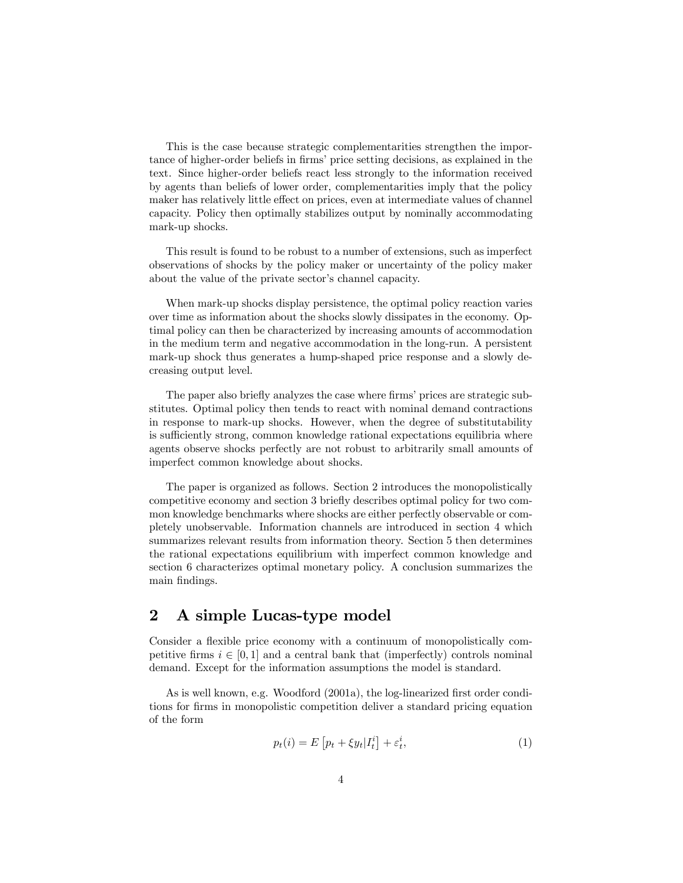This is the case because strategic complementarities strengthen the importance of higher-order beliefs in firms' price setting decisions, as explained in the text. Since higher-order beliefs react less strongly to the information received by agents than beliefs of lower order, complementarities imply that the policy maker has relatively little effect on prices, even at intermediate values of channel capacity. Policy then optimally stabilizes output by nominally accommodating mark-up shocks.

This result is found to be robust to a number of extensions, such as imperfect observations of shocks by the policy maker or uncertainty of the policy maker about the value of the private sector's channel capacity.

When mark-up shocks display persistence, the optimal policy reaction varies over time as information about the shocks slowly dissipates in the economy. Optimal policy can then be characterized by increasing amounts of accommodation in the medium term and negative accommodation in the long-run. A persistent mark-up shock thus generates a hump-shaped price response and a slowly decreasing output level.

The paper also briefly analyzes the case where firms' prices are strategic substitutes. Optimal policy then tends to react with nominal demand contractions in response to mark-up shocks. However, when the degree of substitutability is sufficiently strong, common knowledge rational expectations equilibria where agents observe shocks perfectly are not robust to arbitrarily small amounts of imperfect common knowledge about shocks.

The paper is organized as follows. Section 2 introduces the monopolistically competitive economy and section 3 briefly describes optimal policy for two common knowledge benchmarks where shocks are either perfectly observable or completely unobservable. Information channels are introduced in section 4 which summarizes relevant results from information theory. Section 5 then determines the rational expectations equilibrium with imperfect common knowledge and section 6 characterizes optimal monetary policy. A conclusion summarizes the main findings.

## 2 A simple Lucas-type model

Consider a flexible price economy with a continuum of monopolistically competitive firms  $i \in [0, 1]$  and a central bank that (imperfectly) controls nominal demand. Except for the information assumptions the model is standard.

As is well known, e.g. Woodford (2001a), the log-linearized first order conditions for firms in monopolistic competition deliver a standard pricing equation of the form

$$
p_t(i) = E\left[p_t + \xi y_t | I_t^i\right] + \varepsilon_t^i,\tag{1}
$$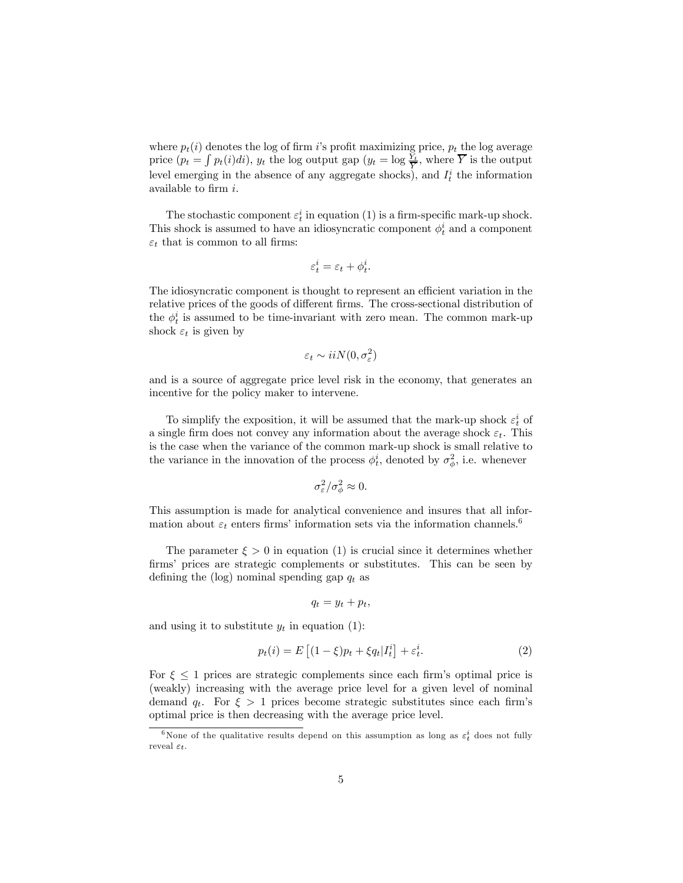where  $p_t(i)$  denotes the log of firm i's profit maximizing price,  $p_t$  the log average price  $(p_t = \int p_t(i)di)$ ,  $y_t$  the log output gap  $(y_t = \log \frac{Y_t}{\overline{Y}})$ , where  $\overline{Y}$  is the output level emerging in the absence of any aggregate shocks), and  $I_t^i$  the information available to firm i.

The stochastic component  $\varepsilon_t^i$  in equation (1) is a firm-specific mark-up shock. This shock is assumed to have an idiosyncratic component  $\phi_t^i$  and a component  $\varepsilon_t$  that is common to all firms:

$$
\varepsilon^i_t = \varepsilon_t + \phi^i_t.
$$

The idiosyncratic component is thought to represent an efficient variation in the relative prices of the goods of different firms. The cross-sectional distribution of the  $\phi_t^i$  is assumed to be time-invariant with zero mean. The common mark-up shock  $\varepsilon_t$  is given by

$$
\varepsilon_t \sim i i N(0, \sigma_\varepsilon^2)
$$

and is a source of aggregate price level risk in the economy, that generates an incentive for the policy maker to intervene.

To simplify the exposition, it will be assumed that the mark-up shock  $\varepsilon_t^i$  of a single firm does not convey any information about the average shock  $\varepsilon_t$ . This is the case when the variance of the common mark-up shock is small relative to the variance in the innovation of the process  $\phi_t^i$ , denoted by  $\sigma_{\phi}^2$ , i.e. whenever

$$
\sigma_{\varepsilon}^2/\sigma_{\phi}^2 \approx 0.
$$

This assumption is made for analytical convenience and insures that all information about  $\varepsilon_t$  enters firms' information sets via the information channels.<sup>6</sup>

The parameter  $\xi > 0$  in equation (1) is crucial since it determines whether firms' prices are strategic complements or substitutes. This can be seen by defining the (log) nominal spending gap  $q_t$  as

$$
q_t = y_t + p_t,
$$

and using it to substitute  $y_t$  in equation (1):

$$
p_t(i) = E\left[ (1 - \xi)p_t + \xi q_t | I_t^i \right] + \varepsilon_t^i. \tag{2}
$$

For  $\xi \leq 1$  prices are strategic complements since each firm's optimal price is (weakly) increasing with the average price level for a given level of nominal demand  $q_t$ . For  $\xi > 1$  prices become strategic substitutes since each firm's optimal price is then decreasing with the average price level.

<sup>&</sup>lt;sup>6</sup>None of the qualitative results depend on this assumption as long as  $\varepsilon_t^i$  does not fully reveal  $\varepsilon_t$ .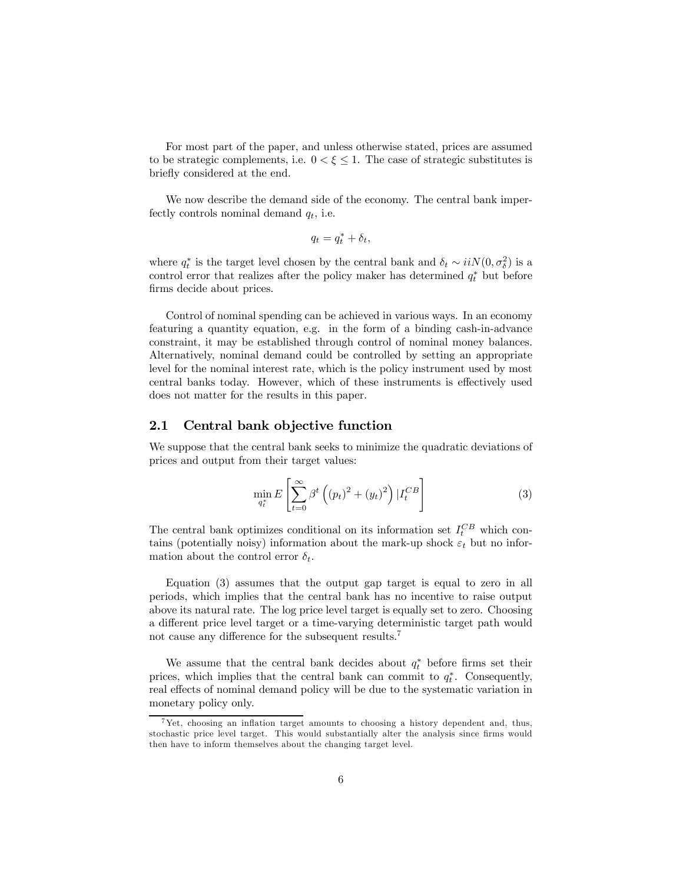For most part of the paper, and unless otherwise stated, prices are assumed to be strategic complements, i.e.  $0 < \xi \leq 1$ . The case of strategic substitutes is briefly considered at the end.

We now describe the demand side of the economy. The central bank imperfectly controls nominal demand  $q_t$ , i.e.

$$
q_t = q_t^* + \delta_t,
$$

where  $q_t^*$  is the target level chosen by the central bank and  $\delta_t \sim i i N(0, \sigma_\delta^2)$  is a control error that realizes after the policy maker has determined  $q_t^*$  but before firms decide about prices.

Control of nominal spending can be achieved in various ways. In an economy featuring a quantity equation, e.g. in the form of a binding cash-in-advance constraint, it may be established through control of nominal money balances. Alternatively, nominal demand could be controlled by setting an appropriate level for the nominal interest rate, which is the policy instrument used by most central banks today. However, which of these instruments is effectively used does not matter for the results in this paper.

#### 2.1 Central bank objective function

We suppose that the central bank seeks to minimize the quadratic deviations of prices and output from their target values:

$$
\min_{q_t^*} E\left[\sum_{t=0}^{\infty} \beta^t \left((p_t)^2 + (y_t)^2\right) |I_t^{CB}\right]
$$
\n(3)

The central bank optimizes conditional on its information set  $I_t^{CB}$  which contains (potentially noisy) information about the mark-up shock  $\varepsilon_t$  but no information about the control error  $\delta_t$ .

Equation (3) assumes that the output gap target is equal to zero in all periods, which implies that the central bank has no incentive to raise output above its natural rate. The log price level target is equally set to zero. Choosing a different price level target or a time-varying deterministic target path would not cause any difference for the subsequent results.7

We assume that the central bank decides about  $q_t^*$  before firms set their prices, which implies that the central bank can commit to  $q_t^*$ . Consequently, real effects of nominal demand policy will be due to the systematic variation in monetary policy only.

<sup>7</sup>Yet, choosing an inflation target amounts to choosing a history dependent and, thus, stochastic price level target. This would substantially alter the analysis since firms would then have to inform themselves about the changing target level.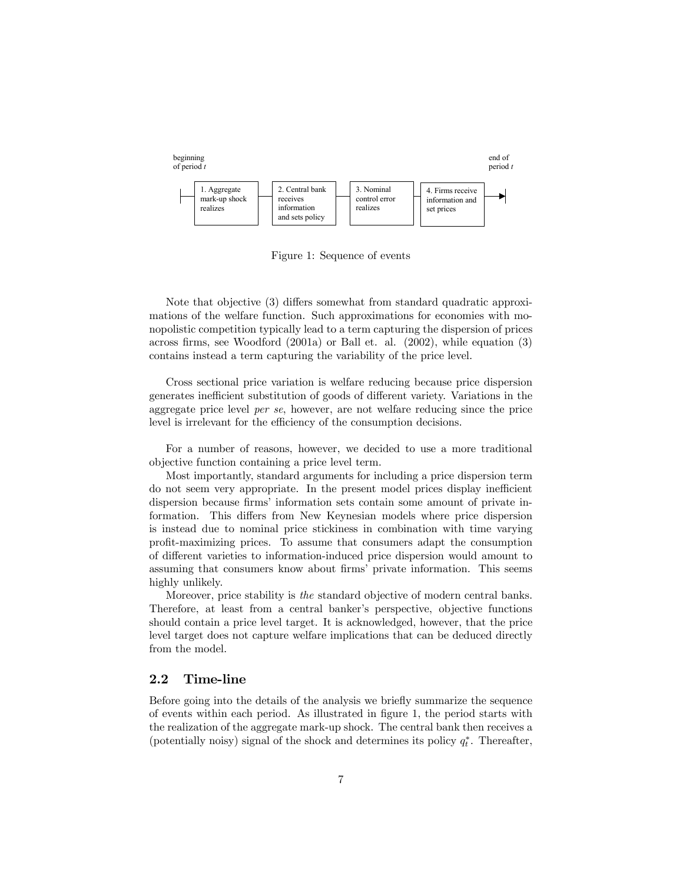

Figure 1: Sequence of events

Note that objective (3) differs somewhat from standard quadratic approximations of the welfare function. Such approximations for economies with monopolistic competition typically lead to a term capturing the dispersion of prices across firms, see Woodford (2001a) or Ball et. al. (2002), while equation (3) contains instead a term capturing the variability of the price level.

Cross sectional price variation is welfare reducing because price dispersion generates inefficient substitution of goods of different variety. Variations in the aggregate price level per se, however, are not welfare reducing since the price level is irrelevant for the efficiency of the consumption decisions.

For a number of reasons, however, we decided to use a more traditional objective function containing a price level term.

Most importantly, standard arguments for including a price dispersion term do not seem very appropriate. In the present model prices display inefficient dispersion because firms' information sets contain some amount of private information. This differs from New Keynesian models where price dispersion is instead due to nominal price stickiness in combination with time varying profit-maximizing prices. To assume that consumers adapt the consumption of different varieties to information-induced price dispersion would amount to assuming that consumers know about firms' private information. This seems highly unlikely.

Moreover, price stability is the standard objective of modern central banks. Therefore, at least from a central banker's perspective, objective functions should contain a price level target. It is acknowledged, however, that the price level target does not capture welfare implications that can be deduced directly from the model.

#### 2.2 Time-line

Before going into the details of the analysis we briefly summarize the sequence of events within each period. As illustrated in figure 1, the period starts with the realization of the aggregate mark-up shock. The central bank then receives a (potentially noisy) signal of the shock and determines its policy  $q_t^*$ . Thereafter,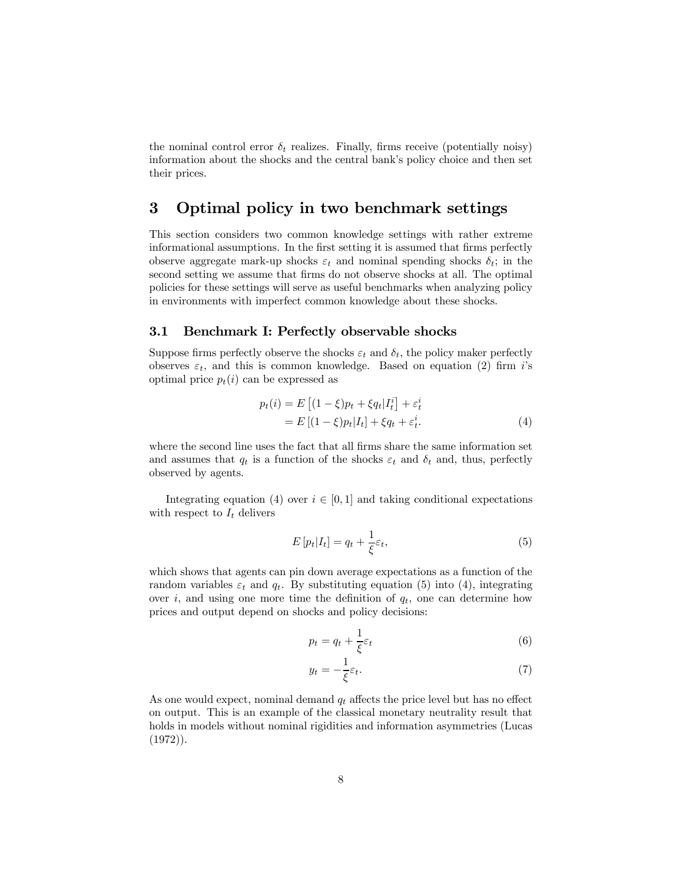the nominal control error  $\delta_t$  realizes. Finally, firms receive (potentially noisy) information about the shocks and the central bank's policy choice and then set their prices.

### 3 Optimal policy in two benchmark settings

This section considers two common knowledge settings with rather extreme informational assumptions. In the first setting it is assumed that firms perfectly observe aggregate mark-up shocks  $\varepsilon_t$  and nominal spending shocks  $\delta_t$ ; in the second setting we assume that firms do not observe shocks at all. The optimal policies for these settings will serve as useful benchmarks when analyzing policy in environments with imperfect common knowledge about these shocks.

#### 3.1 Benchmark I: Perfectly observable shocks

Suppose firms perfectly observe the shocks  $\varepsilon_t$  and  $\delta_t$ , the policy maker perfectly observes  $\varepsilon_t$ , and this is common knowledge. Based on equation (2) firm i's optimal price  $p_t(i)$  can be expressed as

$$
p_t(i) = E\left[ (1 - \xi)p_t + \xi q_t | I_t^i \right] + \varepsilon_t^i
$$
  
= 
$$
E\left[ (1 - \xi)p_t | I_t \right] + \xi q_t + \varepsilon_t^i.
$$
 (4)

where the second line uses the fact that all firms share the same information set and assumes that  $q_t$  is a function of the shocks  $\varepsilon_t$  and  $\delta_t$  and, thus, perfectly observed by agents.

Integrating equation (4) over  $i \in [0,1]$  and taking conditional expectations with respect to  $I_t$  delivers

$$
E\left[p_t|I_t\right] = q_t + \frac{1}{\xi}\varepsilon_t,\tag{5}
$$

which shows that agents can pin down average expectations as a function of the random variables  $\varepsilon_t$  and  $q_t$ . By substituting equation (5) into (4), integrating over i, and using one more time the definition of  $q_t$ , one can determine how prices and output depend on shocks and policy decisions:

$$
p_t = q_t + \frac{1}{\xi} \varepsilon_t \tag{6}
$$

$$
y_t = -\frac{1}{\xi} \varepsilon_t. \tag{7}
$$

As one would expect, nominal demand  $q_t$  affects the price level but has no effect on output. This is an example of the classical monetary neutrality result that holds in models without nominal rigidities and information asymmetries (Lucas (1972)).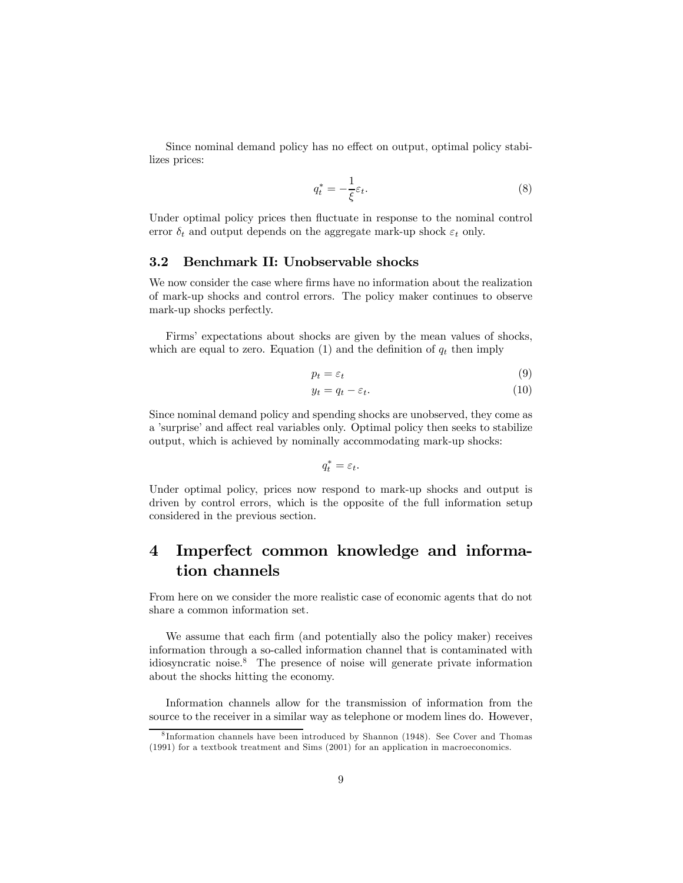Since nominal demand policy has no effect on output, optimal policy stabilizes prices:

$$
q_t^* = -\frac{1}{\xi} \varepsilon_t. \tag{8}
$$

Under optimal policy prices then fluctuate in response to the nominal control error  $\delta_t$  and output depends on the aggregate mark-up shock  $\varepsilon_t$  only.

#### 3.2 Benchmark II: Unobservable shocks

We now consider the case where firms have no information about the realization of mark-up shocks and control errors. The policy maker continues to observe mark-up shocks perfectly.

Firms' expectations about shocks are given by the mean values of shocks, which are equal to zero. Equation (1) and the definition of  $q_t$  then imply

$$
p_t = \varepsilon_t \tag{9}
$$

$$
y_t = q_t - \varepsilon_t. \tag{10}
$$

Since nominal demand policy and spending shocks are unobserved, they come as a 'surprise' and affect real variables only. Optimal policy then seeks to stabilize output, which is achieved by nominally accommodating mark-up shocks:

$$
q_t^* = \varepsilon_t.
$$

Under optimal policy, prices now respond to mark-up shocks and output is driven by control errors, which is the opposite of the full information setup considered in the previous section.

## 4 Imperfect common knowledge and information channels

From here on we consider the more realistic case of economic agents that do not share a common information set.

We assume that each firm (and potentially also the policy maker) receives information through a so-called information channel that is contaminated with idiosyncratic noise.8 The presence of noise will generate private information about the shocks hitting the economy.

Information channels allow for the transmission of information from the source to the receiver in a similar way as telephone or modem lines do. However,

<sup>8</sup> Information channels have been introduced by Shannon (1948). See Cover and Thomas (1991) for a textbook treatment and Sims (2001) for an application in macroeconomics.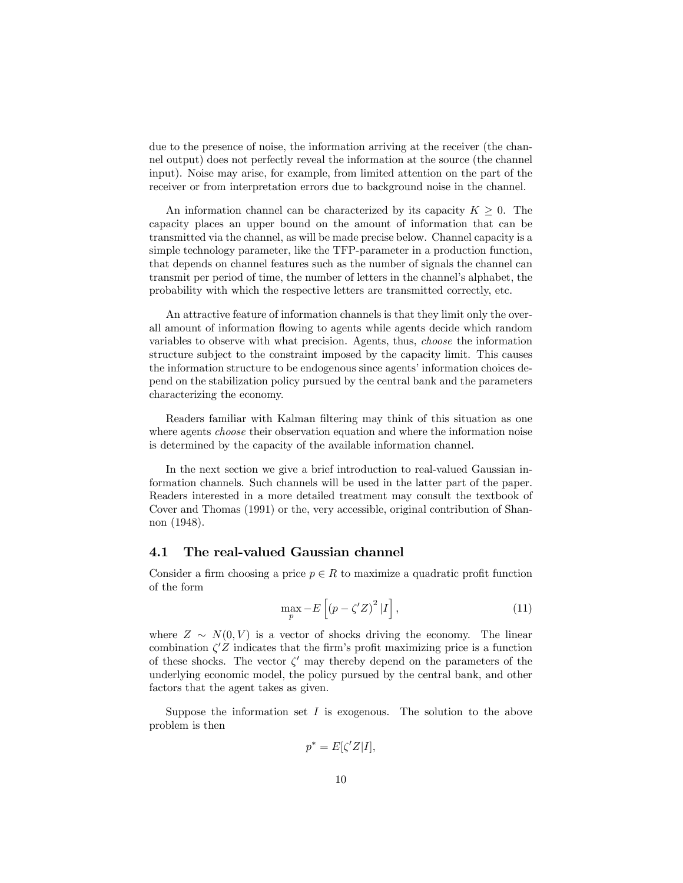due to the presence of noise, the information arriving at the receiver (the channel output) does not perfectly reveal the information at the source (the channel input). Noise may arise, for example, from limited attention on the part of the receiver or from interpretation errors due to background noise in the channel.

An information channel can be characterized by its capacity  $K \geq 0$ . The capacity places an upper bound on the amount of information that can be transmitted via the channel, as will be made precise below. Channel capacity is a simple technology parameter, like the TFP-parameter in a production function, that depends on channel features such as the number of signals the channel can transmit per period of time, the number of letters in the channel's alphabet, the probability with which the respective letters are transmitted correctly, etc.

An attractive feature of information channels is that they limit only the overall amount of information flowing to agents while agents decide which random variables to observe with what precision. Agents, thus, choose the information structure subject to the constraint imposed by the capacity limit. This causes the information structure to be endogenous since agents' information choices depend on the stabilization policy pursued by the central bank and the parameters characterizing the economy.

Readers familiar with Kalman filtering may think of this situation as one where agents *choose* their observation equation and where the information noise is determined by the capacity of the available information channel.

In the next section we give a brief introduction to real-valued Gaussian information channels. Such channels will be used in the latter part of the paper. Readers interested in a more detailed treatment may consult the textbook of Cover and Thomas (1991) or the, very accessible, original contribution of Shannon (1948).

#### 4.1 The real-valued Gaussian channel

Consider a firm choosing a price  $p \in R$  to maximize a quadratic profit function of the form

$$
\max_{p} -E\left[\left(p - \zeta' Z\right)^2 | I\right],\tag{11}
$$

where  $Z \sim N(0, V)$  is a vector of shocks driving the economy. The linear combination  $\zeta$ 'Z indicates that the firm's profit maximizing price is a function of these shocks. The vector  $\zeta'$  may thereby depend on the parameters of the underlying economic model, the policy pursued by the central bank, and other factors that the agent takes as given.

Suppose the information set  $I$  is exogenous. The solution to the above problem is then

$$
p^* = E[\zeta' Z | I],
$$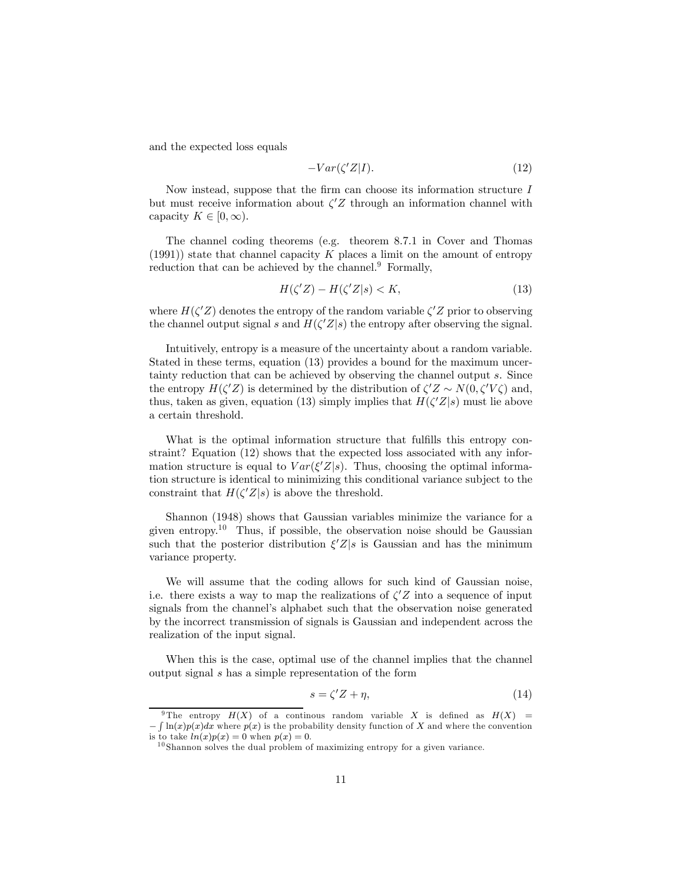and the expected loss equals

$$
-Var(\zeta'Z|I). \tag{12}
$$

Now instead, suppose that the firm can choose its information structure  $I$ but must receive information about  $\zeta Z$  through an information channel with capacity  $K \in [0, \infty)$ .

The channel coding theorems (e.g. theorem 8.7.1 in Cover and Thomas  $(1991)$ ) state that channel capacity K places a limit on the amount of entropy reduction that can be achieved by the channel. $9$  Formally,

$$
H(\zeta'Z) - H(\zeta'Z|s) < K,\tag{13}
$$

where  $H(\zeta'Z)$  denotes the entropy of the random variable  $\zeta'Z$  prior to observing the channel output signal s and  $H(\zeta'Z|s)$  the entropy after observing the signal.

Intuitively, entropy is a measure of the uncertainty about a random variable. Stated in these terms, equation (13) provides a bound for the maximum uncertainty reduction that can be achieved by observing the channel output s. Since the entropy  $H(\zeta'Z)$  is determined by the distribution of  $\zeta'Z \sim N(0, \zeta'V\zeta)$  and, thus, taken as given, equation (13) simply implies that  $H(\zeta'Z|s)$  must lie above a certain threshold.

What is the optimal information structure that fulfills this entropy constraint? Equation (12) shows that the expected loss associated with any information structure is equal to  $Var(\xi'Z|s)$ . Thus, choosing the optimal information structure is identical to minimizing this conditional variance subject to the constraint that  $H(\zeta'Z|s)$  is above the threshold.

Shannon (1948) shows that Gaussian variables minimize the variance for a given entropy.<sup>10</sup> Thus, if possible, the observation noise should be Gaussian such that the posterior distribution  $\xi'Z|s$  is Gaussian and has the minimum variance property.

We will assume that the coding allows for such kind of Gaussian noise, i.e. there exists a way to map the realizations of  $\zeta' Z$  into a sequence of input signals from the channel's alphabet such that the observation noise generated by the incorrect transmission of signals is Gaussian and independent across the realization of the input signal.

When this is the case, optimal use of the channel implies that the channel output signal s has a simple representation of the form

$$
s = \zeta' Z + \eta,\tag{14}
$$

<sup>&</sup>lt;sup>9</sup>The entropy  $H(X)$  of a continuous random variable X is defined as  $H(X)$  =  $-\int \ln(x)p(x)dx$  where  $p(x)$  is the probability density function of X and where the convention is to take  $ln(x)p(x)=0$  when  $p(x)=0$ .

 $10$  Shannon solves the dual problem of maximizing entropy for a given variance.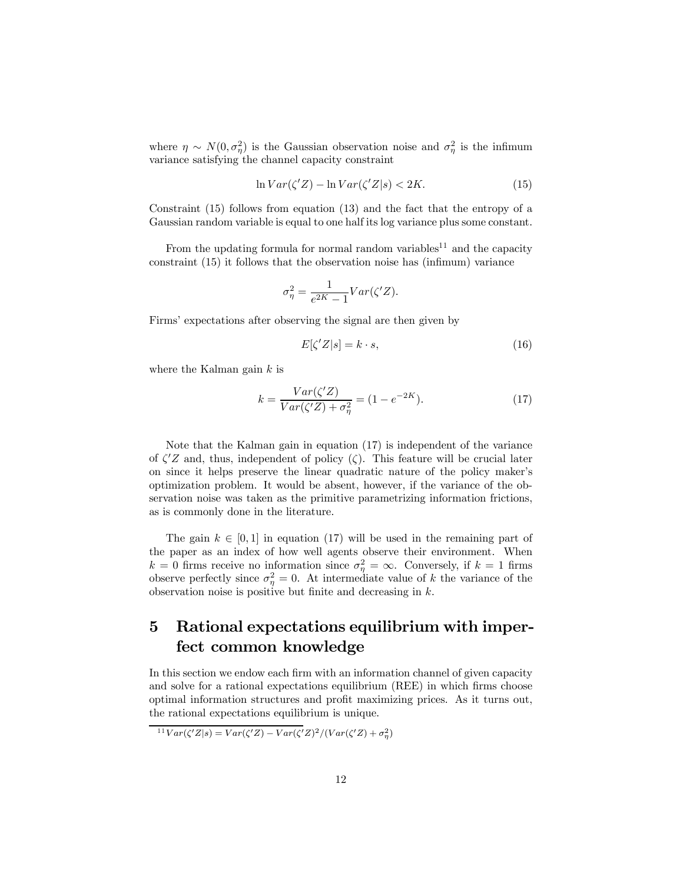where  $\eta \sim N(0, \sigma_{\eta}^2)$  is the Gaussian observation noise and  $\sigma_{\eta}^2$  is the infimum variance satisfying the channel capacity constraint

$$
\ln Var(\zeta' Z) - \ln Var(\zeta' Z|s) < 2K. \tag{15}
$$

Constraint (15) follows from equation (13) and the fact that the entropy of a Gaussian random variable is equal to one half its log variance plus some constant.

From the updating formula for normal random variables<sup>11</sup> and the capacity constraint (15) it follows that the observation noise has (infimum) variance

$$
\sigma_{\eta}^{2} = \frac{1}{e^{2K} - 1} Var(\zeta' Z).
$$

Firms' expectations after observing the signal are then given by

$$
E[\zeta' Z|s] = k \cdot s,\tag{16}
$$

where the Kalman gain  $k$  is

$$
k = \frac{Var(\zeta'Z)}{Var(\zeta'Z) + \sigma_{\eta}^2} = (1 - e^{-2K}).\tag{17}
$$

Note that the Kalman gain in equation (17) is independent of the variance of  $\zeta' Z$  and, thus, independent of policy  $(\zeta)$ . This feature will be crucial later on since it helps preserve the linear quadratic nature of the policy maker's optimization problem. It would be absent, however, if the variance of the observation noise was taken as the primitive parametrizing information frictions, as is commonly done in the literature.

The gain  $k \in [0, 1]$  in equation (17) will be used in the remaining part of the paper as an index of how well agents observe their environment. When  $k = 0$  firms receive no information since  $\sigma_{\eta}^2 = \infty$ . Conversely, if  $k = 1$  firms observe perfectly since  $\sigma_{\eta}^2 = 0$ . At intermediate value of k the variance of the observation noise is positive but finite and decreasing in  $k$ .

## 5 Rational expectations equilibrium with imperfect common knowledge

In this section we endow each firm with an information channel of given capacity and solve for a rational expectations equilibrium (REE) in which firms choose optimal information structures and profit maximizing prices. As it turns out, the rational expectations equilibrium is unique.

<sup>11</sup>Var( $\zeta'Z|s$ ) = Var( $\zeta'Z$ ) – Var( $\zeta'Z$ )<sup>2</sup>/(Var( $\zeta'Z$ ) +  $\sigma_{\eta}^2$ )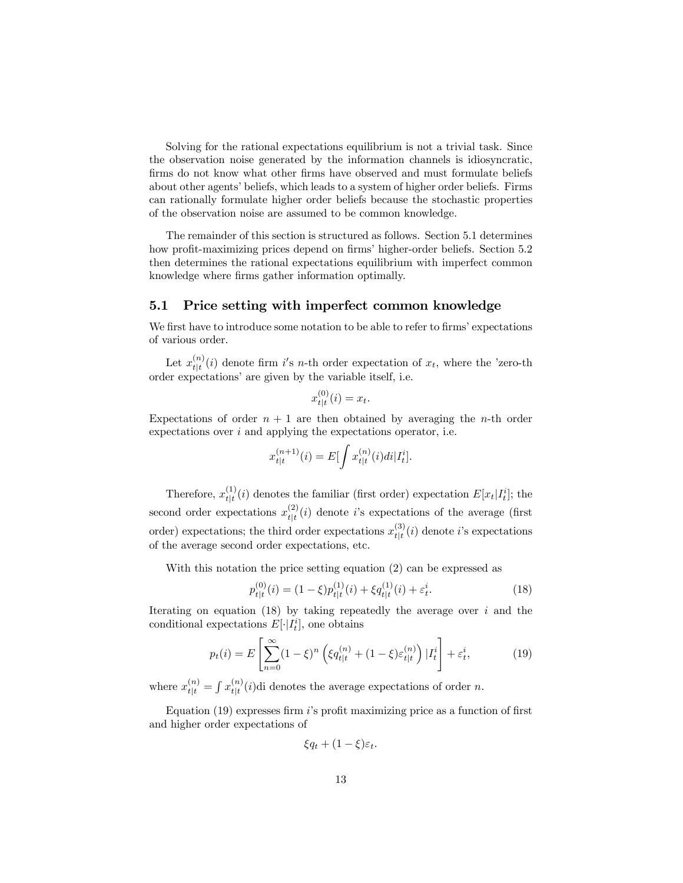Solving for the rational expectations equilibrium is not a trivial task. Since the observation noise generated by the information channels is idiosyncratic, firms do not know what other firms have observed and must formulate beliefs about other agents' beliefs, which leads to a system of higher order beliefs. Firms can rationally formulate higher order beliefs because the stochastic properties of the observation noise are assumed to be common knowledge.

The remainder of this section is structured as follows. Section 5.1 determines how profit-maximizing prices depend on firms' higher-order beliefs. Section 5.2 then determines the rational expectations equilibrium with imperfect common knowledge where firms gather information optimally.

#### 5.1 Price setting with imperfect common knowledge

We first have to introduce some notation to be able to refer to firms' expectations of various order.

Let  $x_{t|t}^{(n)}(i)$  denote firm i's n-th order expectation of  $x_t$ , where the 'zero-th order expectations' are given by the variable itself, i.e.

$$
x_{t|t}^{(0)}(i) = x_t.
$$

Expectations of order  $n + 1$  are then obtained by averaging the *n*-th order expectations over  $i$  and applying the expectations operator, i.e.

$$
x_{t|t}^{(n+1)}(i) = E[\int x_{t|t}^{(n)}(i)di|I_t^i].
$$

Therefore,  $x_{t|t}^{(1)}(i)$  denotes the familiar (first order) expectation  $E[x_t|I_t^i]$ ; the second order expectations  $x_{t|t}^{(2)}(i)$  denote i's expectations of the average (first order) expectations; the third order expectations  $x_{t|t}^{(3)}(i)$  denote i's expectations of the average second order expectations, etc.

With this notation the price setting equation (2) can be expressed as

$$
p_{t|t}^{(0)}(i) = (1 - \xi)p_{t|t}^{(1)}(i) + \xi q_{t|t}^{(1)}(i) + \varepsilon_t^i.
$$
 (18)

Iterating on equation  $(18)$  by taking repeatedly the average over i and the conditional expectations  $E[\cdot | I_t^i]$ , one obtains

$$
p_t(i) = E\left[\sum_{n=0}^{\infty} (1-\xi)^n \left(\xi q_{t|t}^{(n)} + (1-\xi)\varepsilon_{t|t}^{(n)}\right) | I_t^i\right] + \varepsilon_t^i,\tag{19}
$$

where  $x_{t|t}^{(n)} = \int x_{t|t}^{(n)}(i)$ di denotes the average expectations of order n.

Equation  $(19)$  expresses firm i's profit maximizing price as a function of first and higher order expectations of

$$
\xi q_t + (1 - \xi)\varepsilon_t.
$$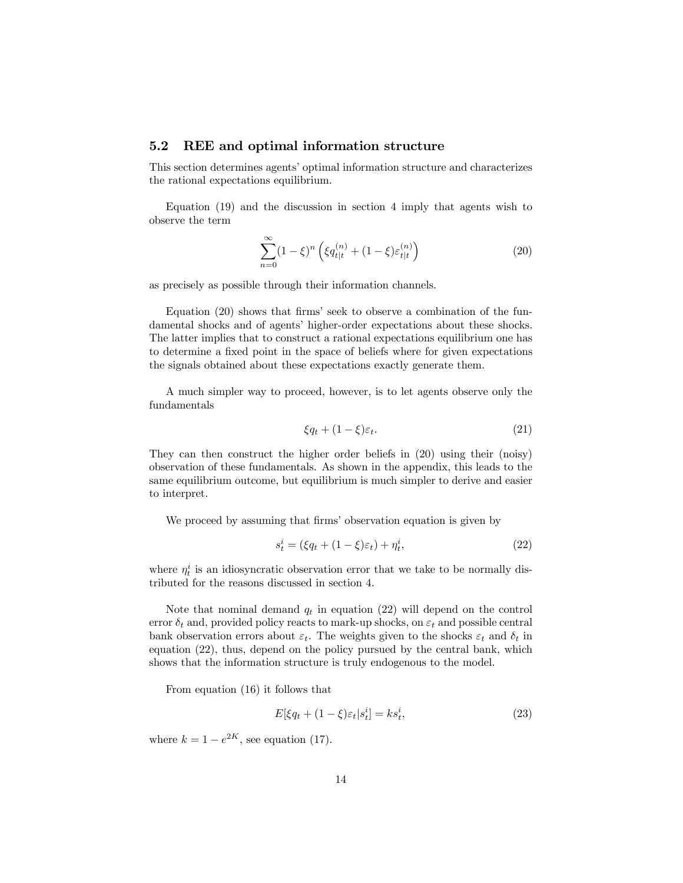#### 5.2 REE and optimal information structure

This section determines agents' optimal information structure and characterizes the rational expectations equilibrium.

Equation (19) and the discussion in section 4 imply that agents wish to observe the term

$$
\sum_{n=0}^{\infty} (1 - \xi)^n \left( \xi q_{t|t}^{(n)} + (1 - \xi) \varepsilon_{t|t}^{(n)} \right)
$$
 (20)

as precisely as possible through their information channels.

Equation (20) shows that firms' seek to observe a combination of the fundamental shocks and of agents' higher-order expectations about these shocks. The latter implies that to construct a rational expectations equilibrium one has to determine a fixed point in the space of beliefs where for given expectations the signals obtained about these expectations exactly generate them.

A much simpler way to proceed, however, is to let agents observe only the fundamentals

$$
\xi q_t + (1 - \xi)\varepsilon_t. \tag{21}
$$

They can then construct the higher order beliefs in (20) using their (noisy) observation of these fundamentals. As shown in the appendix, this leads to the same equilibrium outcome, but equilibrium is much simpler to derive and easier to interpret.

We proceed by assuming that firms' observation equation is given by

$$
s_t^i = (\xi q_t + (1 - \xi)\varepsilon_t) + \eta_t^i,\tag{22}
$$

where  $\eta_t^i$  is an idiosyncratic observation error that we take to be normally distributed for the reasons discussed in section 4.

Note that nominal demand  $q_t$  in equation (22) will depend on the control error  $\delta_t$  and, provided policy reacts to mark-up shocks, on  $\varepsilon_t$  and possible central bank observation errors about  $\varepsilon_t$ . The weights given to the shocks  $\varepsilon_t$  and  $\delta_t$  in equation (22), thus, depend on the policy pursued by the central bank, which shows that the information structure is truly endogenous to the model.

From equation (16) it follows that

$$
E[\xi q_t + (1 - \xi)\varepsilon_t | s_t^i] = ks_t^i, \tag{23}
$$

where  $k = 1 - e^{2K}$ , see equation (17).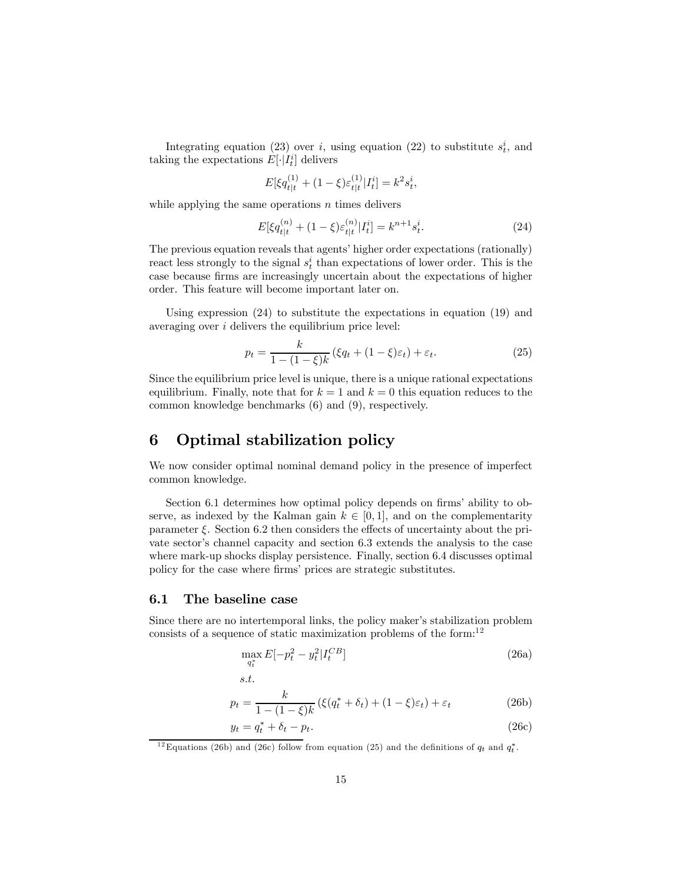Integrating equation (23) over i, using equation (22) to substitute  $s_t^i$ , and taking the expectations  $E[\cdot|I_t^i]$  delivers

$$
E[\xi q_{t|t}^{(1)} + (1 - \xi)\varepsilon_{t|t}^{(1)} | I_t^i] = k^2 s_t^i,
$$

while applying the same operations  $n$  times delivers

$$
E[\xi q_{t|t}^{(n)} + (1 - \xi)\varepsilon_{t|t}^{(n)} | I_t^i] = k^{n+1} s_t^i.
$$
 (24)

The previous equation reveals that agents' higher order expectations (rationally) react less strongly to the signal  $s_t^i$  than expectations of lower order. This is the case because firms are increasingly uncertain about the expectations of higher order. This feature will become important later on.

Using expression (24) to substitute the expectations in equation (19) and averaging over i delivers the equilibrium price level:

$$
p_t = \frac{k}{1 - (1 - \xi)k} \left( \xi q_t + (1 - \xi) \varepsilon_t \right) + \varepsilon_t.
$$
 (25)

Since the equilibrium price level is unique, there is a unique rational expectations equilibrium. Finally, note that for  $k = 1$  and  $k = 0$  this equation reduces to the common knowledge benchmarks (6) and (9), respectively.

## 6 Optimal stabilization policy

We now consider optimal nominal demand policy in the presence of imperfect common knowledge.

Section 6.1 determines how optimal policy depends on firms' ability to observe, as indexed by the Kalman gain  $k \in [0, 1]$ , and on the complementarity parameter  $\xi$ . Section 6.2 then considers the effects of uncertainty about the private sector's channel capacity and section 6.3 extends the analysis to the case where mark-up shocks display persistence. Finally, section 6.4 discusses optimal policy for the case where firms' prices are strategic substitutes.

#### 6.1 The baseline case

s.t.

Since there are no intertemporal links, the policy maker's stabilization problem consists of a sequence of static maximization problems of the form: $^{12}$ 

$$
\max_{q_t^*} E[-p_t^2 - y_t^2 | I_t^{CB}] \tag{26a}
$$

$$
p_t = \frac{k}{1 - (1 - \xi)k} \left( \xi(q_t^* + \delta_t) + (1 - \xi)\varepsilon_t \right) + \varepsilon_t \tag{26b}
$$

$$
y_t = q_t^* + \delta_t - p_t. \tag{26c}
$$

<sup>12</sup> Equations (26b) and (26c) follow from equation (25) and the definitions of  $q_t$  and  $q_t^*$ .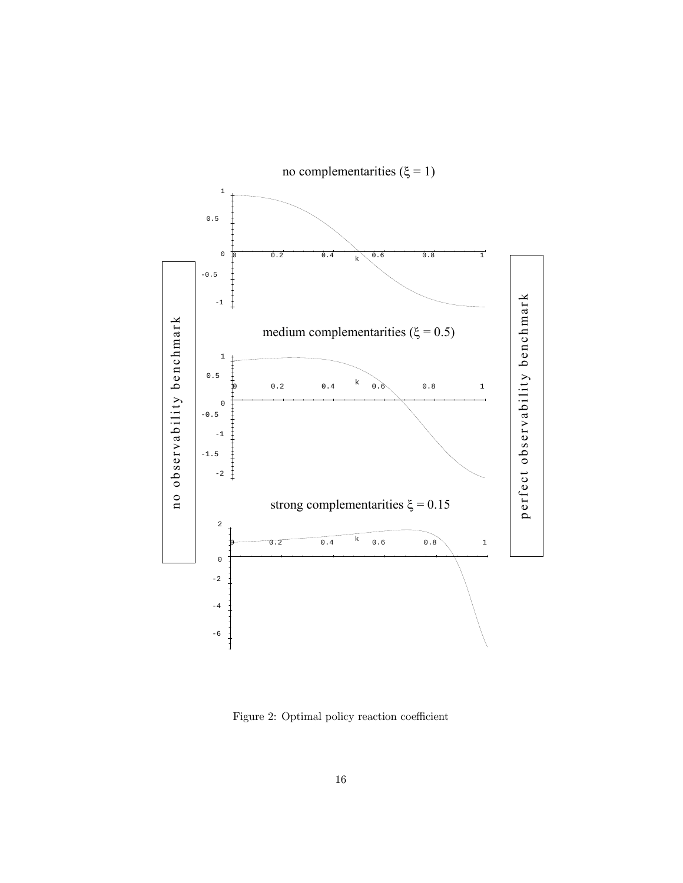

Figure 2: Optimal policy reaction coefficient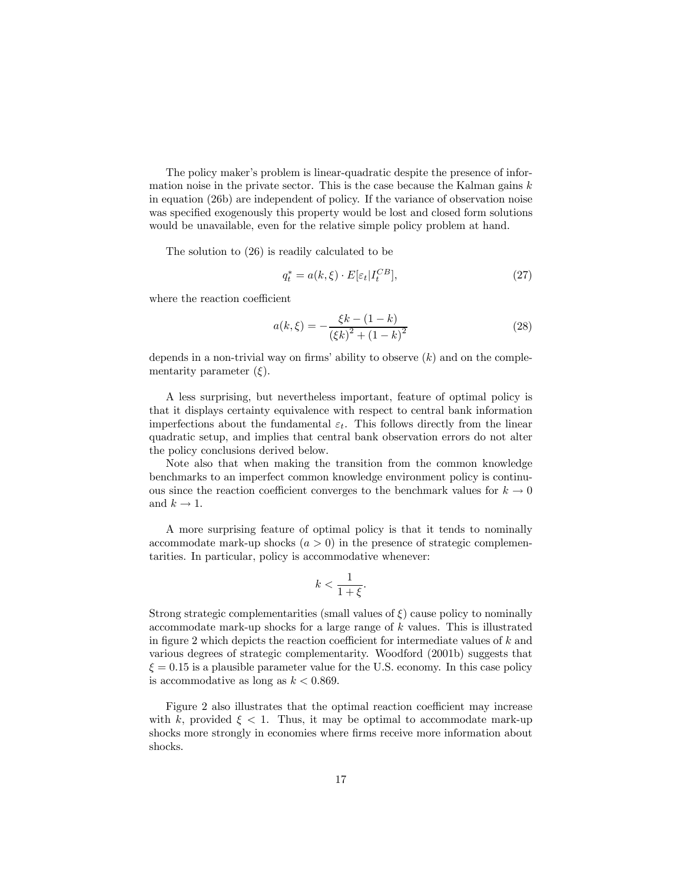The policy maker's problem is linear-quadratic despite the presence of information noise in the private sector. This is the case because the Kalman gains  $k$ in equation (26b) are independent of policy. If the variance of observation noise was specified exogenously this property would be lost and closed form solutions would be unavailable, even for the relative simple policy problem at hand.

The solution to (26) is readily calculated to be

$$
q_t^* = a(k, \xi) \cdot E[\varepsilon_t | I_t^{CB}], \qquad (27)
$$

where the reaction coefficient

$$
a(k,\xi) = -\frac{\xi k - (1-k)}{(\xi k)^2 + (1-k)^2}
$$
 (28)

depends in a non-trivial way on firms' ability to observe  $(k)$  and on the complementarity parameter  $(\xi)$ .

A less surprising, but nevertheless important, feature of optimal policy is that it displays certainty equivalence with respect to central bank information imperfections about the fundamental  $\varepsilon_t$ . This follows directly from the linear quadratic setup, and implies that central bank observation errors do not alter the policy conclusions derived below.

Note also that when making the transition from the common knowledge benchmarks to an imperfect common knowledge environment policy is continuous since the reaction coefficient converges to the benchmark values for  $k \to 0$ and  $k \rightarrow 1$ .

A more surprising feature of optimal policy is that it tends to nominally accommodate mark-up shocks  $(a > 0)$  in the presence of strategic complementarities. In particular, policy is accommodative whenever:

$$
k < \frac{1}{1+\xi}.
$$

Strong strategic complementarities (small values of  $\xi$ ) cause policy to nominally accommodate mark-up shocks for a large range of  $k$  values. This is illustrated in figure 2 which depicts the reaction coefficient for intermediate values of k and various degrees of strategic complementarity. Woodford (2001b) suggests that  $\xi = 0.15$  is a plausible parameter value for the U.S. economy. In this case policy is accommodative as long as  $k < 0.869$ .

Figure 2 also illustrates that the optimal reaction coefficient may increase with k, provided  $\xi < 1$ . Thus, it may be optimal to accommodate mark-up shocks more strongly in economies where firms receive more information about shocks.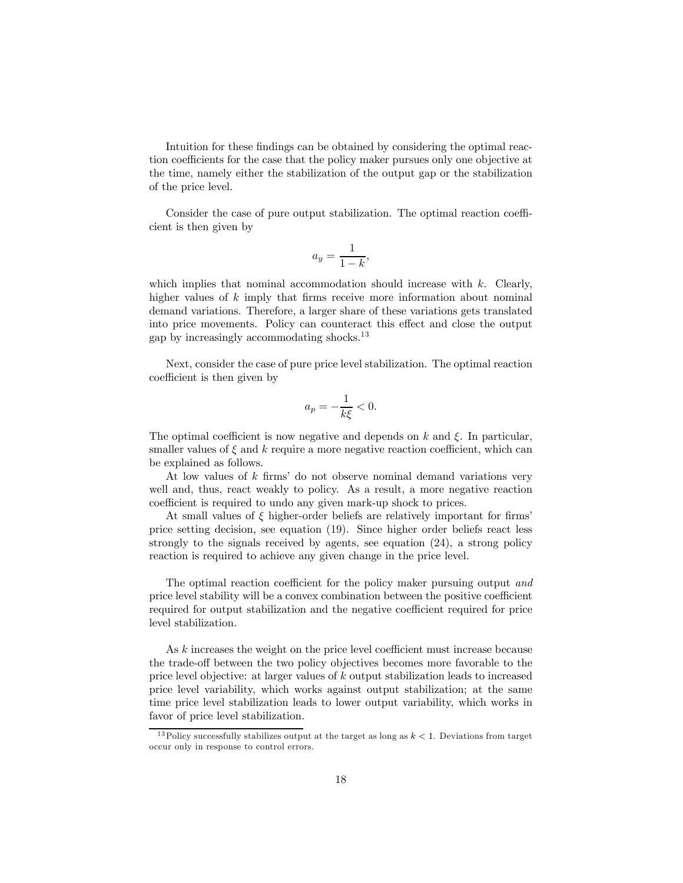Intuition for these findings can be obtained by considering the optimal reaction coefficients for the case that the policy maker pursues only one objective at the time, namely either the stabilization of the output gap or the stabilization of the price level.

Consider the case of pure output stabilization. The optimal reaction coefficient is then given by

$$
a_y = \frac{1}{1-k},
$$

which implies that nominal accommodation should increase with  $k$ . Clearly, higher values of k imply that firms receive more information about nominal demand variations. Therefore, a larger share of these variations gets translated into price movements. Policy can counteract this effect and close the output gap by increasingly accommodating shocks.<sup>13</sup>

Next, consider the case of pure price level stabilization. The optimal reaction coefficient is then given by

$$
a_p = -\frac{1}{k\xi} < 0.
$$

The optimal coefficient is now negative and depends on  $k$  and  $\xi$ . In particular, smaller values of  $\xi$  and k require a more negative reaction coefficient, which can be explained as follows.

At low values of k firms' do not observe nominal demand variations very well and, thus, react weakly to policy. As a result, a more negative reaction coefficient is required to undo any given mark-up shock to prices.

At small values of  $\xi$  higher-order beliefs are relatively important for firms' price setting decision, see equation (19). Since higher order beliefs react less strongly to the signals received by agents, see equation (24), a strong policy reaction is required to achieve any given change in the price level.

The optimal reaction coefficient for the policy maker pursuing output and price level stability will be a convex combination between the positive coefficient required for output stabilization and the negative coefficient required for price level stabilization.

As k increases the weight on the price level coefficient must increase because the trade-off between the two policy objectives becomes more favorable to the price level objective: at larger values of k output stabilization leads to increased price level variability, which works against output stabilization; at the same time price level stabilization leads to lower output variability, which works in favor of price level stabilization.

<sup>&</sup>lt;sup>13</sup>Policy successfully stabilizes output at the target as long as  $k < 1$ . Deviations from target occur only in response to control errors.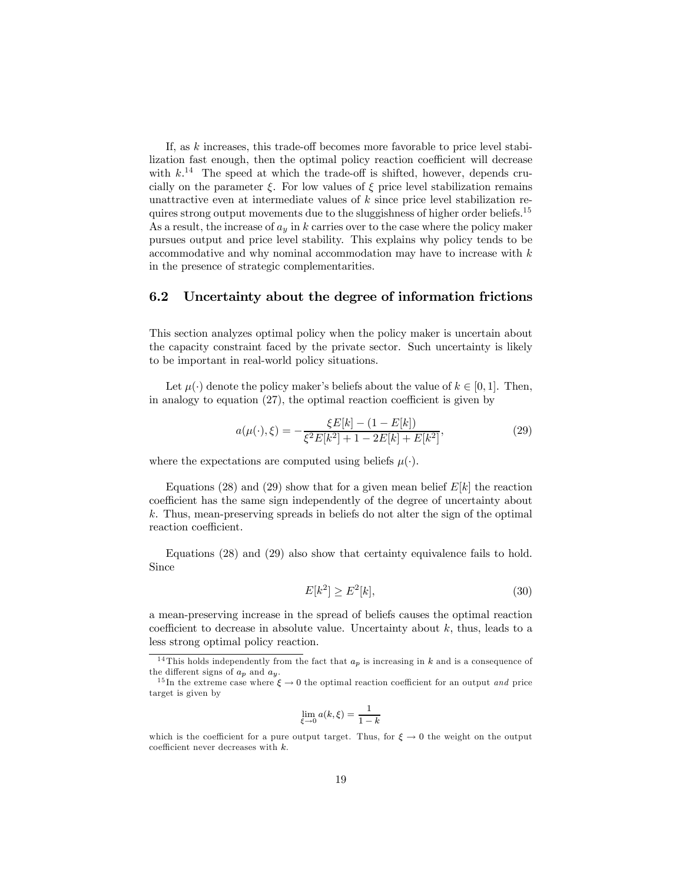If, as  $k$  increases, this trade-off becomes more favorable to price level stabilization fast enough, then the optimal policy reaction coefficient will decrease with  $k^{14}$  The speed at which the trade-off is shifted, however, depends crucially on the parameter  $\xi$ . For low values of  $\xi$  price level stabilization remains unattractive even at intermediate values of k since price level stabilization requires strong output movements due to the sluggishness of higher order beliefs.<sup>15</sup> As a result, the increase of  $a_y$  in k carries over to the case where the policy maker pursues output and price level stability. This explains why policy tends to be accommodative and why nominal accommodation may have to increase with  $k$ in the presence of strategic complementarities.

#### 6.2 Uncertainty about the degree of information frictions

This section analyzes optimal policy when the policy maker is uncertain about the capacity constraint faced by the private sector. Such uncertainty is likely to be important in real-world policy situations.

Let  $\mu(\cdot)$  denote the policy maker's beliefs about the value of  $k \in [0,1]$ . Then, in analogy to equation (27), the optimal reaction coefficient is given by

$$
a(\mu(\cdot), \xi) = -\frac{\xi E[k] - (1 - E[k])}{\xi^2 E[k^2] + 1 - 2E[k] + E[k^2]},
$$
\n(29)

where the expectations are computed using beliefs  $\mu(\cdot)$ .

Equations (28) and (29) show that for a given mean belief  $E[k]$  the reaction coefficient has the same sign independently of the degree of uncertainty about k. Thus, mean-preserving spreads in beliefs do not alter the sign of the optimal reaction coefficient.

Equations (28) and (29) also show that certainty equivalence fails to hold. Since

$$
E[k^2] \ge E^2[k],\tag{30}
$$

a mean-preserving increase in the spread of beliefs causes the optimal reaction coefficient to decrease in absolute value. Uncertainty about  $k$ , thus, leads to a less strong optimal policy reaction.

$$
\lim_{\xi \to 0} a(k, \xi) = \frac{1}{1 - k}
$$

<sup>&</sup>lt;sup>14</sup>This holds independently from the fact that  $a_p$  is increasing in k and is a consequence of the different signs of  $a_p$  and  $a_y$ .

<sup>&</sup>lt;sup>15</sup>In the extreme case where  $\xi \to 0$  the optimal reaction coefficient for an output *and* price target is given by

which is the coefficient for a pure output target. Thus, for  $\xi \to 0$  the weight on the output coefficient never decreases with  $k$ .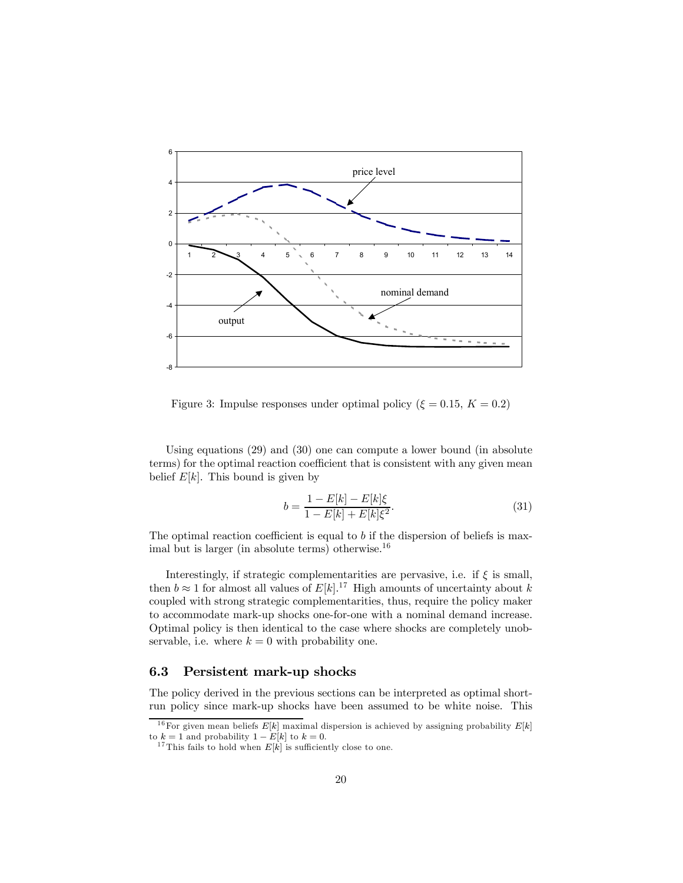

Figure 3: Impulse responses under optimal policy ( $\xi = 0.15, K = 0.2$ )

Using equations (29) and (30) one can compute a lower bound (in absolute terms) for the optimal reaction coefficient that is consistent with any given mean belief  $E[k]$ . This bound is given by

$$
b = \frac{1 - E[k] - E[k]\xi}{1 - E[k] + E[k]\xi^2}.
$$
\n(31)

The optimal reaction coefficient is equal to  $b$  if the dispersion of beliefs is maximal but is larger (in absolute terms) otherwise. $16$ 

Interestingly, if strategic complementarities are pervasive, i.e. if  $\xi$  is small, then  $b \approx 1$  for almost all values of  $E[k]$ <sup>17</sup> High amounts of uncertainty about k coupled with strong strategic complementarities, thus, require the policy maker to accommodate mark-up shocks one-for-one with a nominal demand increase. Optimal policy is then identical to the case where shocks are completely unobservable, i.e. where  $k = 0$  with probability one.

#### 6.3 Persistent mark-up shocks

The policy derived in the previous sections can be interpreted as optimal shortrun policy since mark-up shocks have been assumed to be white noise. This

<sup>&</sup>lt;sup>16</sup>For given mean beliefs  $E[k]$  maximal dispersion is achieved by assigning probability  $E[k]$  to  $k = 1$  and probability  $1 - E[k]$  to  $k = 0$ .

<sup>&</sup>lt;sup>17</sup> This fails to hold when  $E[k]$  is sufficiently close to one.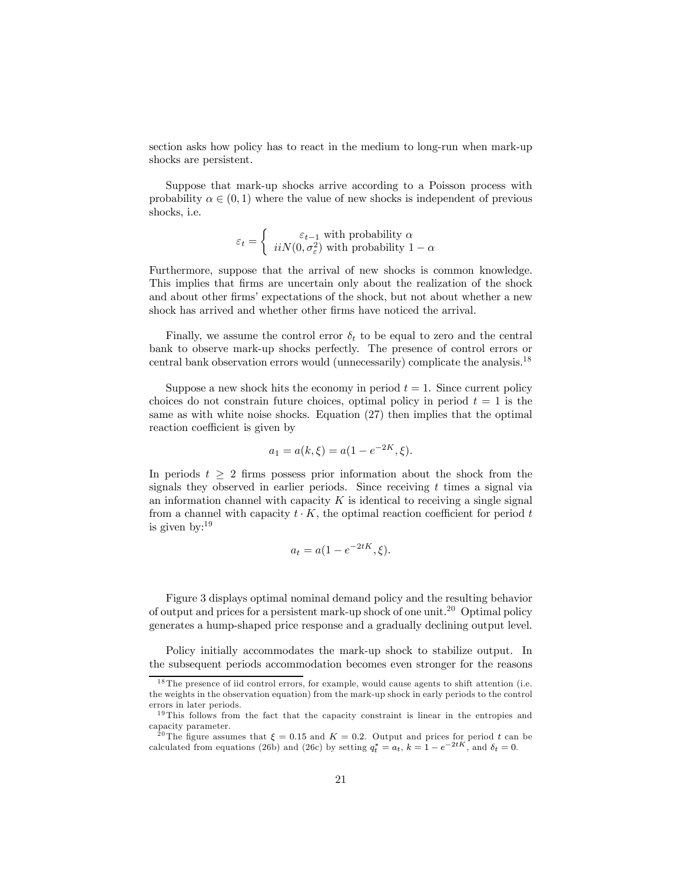section asks how policy has to react in the medium to long-run when mark-up shocks are persistent.

Suppose that mark-up shocks arrive according to a Poisson process with probability  $\alpha \in (0, 1)$  where the value of new shocks is independent of previous shocks, i.e.

$$
\varepsilon_t = \left\{ \begin{array}{c} \varepsilon_{t-1} \text{ with probability } \alpha \\ i i N(0, \sigma^2_{\varepsilon}) \text{ with probability } 1-\alpha \end{array} \right.
$$

Furthermore, suppose that the arrival of new shocks is common knowledge. This implies that firms are uncertain only about the realization of the shock and about other firms' expectations of the shock, but not about whether a new shock has arrived and whether other firms have noticed the arrival.

Finally, we assume the control error  $\delta_t$  to be equal to zero and the central bank to observe mark-up shocks perfectly. The presence of control errors or central bank observation errors would (unnecessarily) complicate the analysis.18

Suppose a new shock hits the economy in period  $t = 1$ . Since current policy choices do not constrain future choices, optimal policy in period  $t = 1$  is the same as with white noise shocks. Equation (27) then implies that the optimal reaction coefficient is given by

$$
a_1 = a(k,\xi) = a(1 - e^{-2K}, \xi).
$$

In periods  $t \geq 2$  firms possess prior information about the shock from the signals they observed in earlier periods. Since receiving  $t$  times a signal via an information channel with capacity  $K$  is identical to receiving a single signal from a channel with capacity  $t \cdot K$ , the optimal reaction coefficient for period t is given by:19

$$
a_t = a(1 - e^{-2tK}, \xi).
$$

Figure 3 displays optimal nominal demand policy and the resulting behavior of output and prices for a persistent mark-up shock of one unit.<sup>20</sup> Optimal policy generates a hump-shaped price response and a gradually declining output level.

Policy initially accommodates the mark-up shock to stabilize output. In the subsequent periods accommodation becomes even stronger for the reasons

 $18$ The presence of iid control errors, for example, would cause agents to shift attention (i.e. the weights in the observation equation) from the mark-up shock in early periods to the control errors in later periods.

<sup>&</sup>lt;sup>19</sup>This follows from the fact that the capacity constraint is linear in the entropies and capacity parameter.

<sup>&</sup>lt;sup>20</sup>The figure assumes that  $\xi = 0.15$  and  $K = 0.2$ . Output and prices for period t can be calculated from equations (26b) and (26c) by setting  $q_t^* = a_t$ ,  $k = 1 - e^{-2tK}$ , and  $\delta_t = 0$ .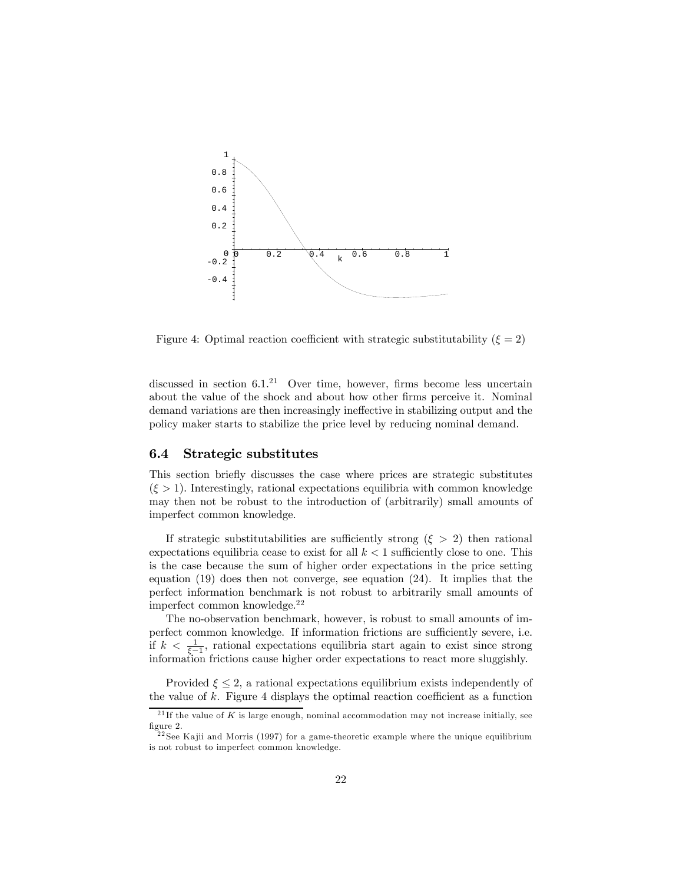

Figure 4: Optimal reaction coefficient with strategic substitutability  $(\xi = 2)$ 

discussed in section  $6.1<sup>21</sup>$  Over time, however, firms become less uncertain about the value of the shock and about how other firms perceive it. Nominal demand variations are then increasingly ineffective in stabilizing output and the policy maker starts to stabilize the price level by reducing nominal demand.

#### 6.4 Strategic substitutes

This section briefly discusses the case where prices are strategic substitutes  $(\xi > 1)$ . Interestingly, rational expectations equilibria with common knowledge may then not be robust to the introduction of (arbitrarily) small amounts of imperfect common knowledge.

If strategic substitutabilities are sufficiently strong  $(\xi > 2)$  then rational expectations equilibria cease to exist for all  $k < 1$  sufficiently close to one. This is the case because the sum of higher order expectations in the price setting equation (19) does then not converge, see equation (24). It implies that the perfect information benchmark is not robust to arbitrarily small amounts of imperfect common knowledge.22

The no-observation benchmark, however, is robust to small amounts of imperfect common knowledge. If information frictions are sufficiently severe, i.e. if  $k < \frac{1}{\xi-1}$ , rational expectations equilibria start again to exist since strong information frictions cause higher order expectations to react more sluggishly.

Provided  $\xi \leq 2$ , a rational expectations equilibrium exists independently of the value of  $k$ . Figure 4 displays the optimal reaction coefficient as a function

<sup>&</sup>lt;sup>21</sup> If the value of K is large enough, nominal accommodation may not increase initially, see figure 2.

 $^{22}$ See Kajii and Morris (1997) for a game-theoretic example where the unique equilibrium is not robust to imperfect common knowledge.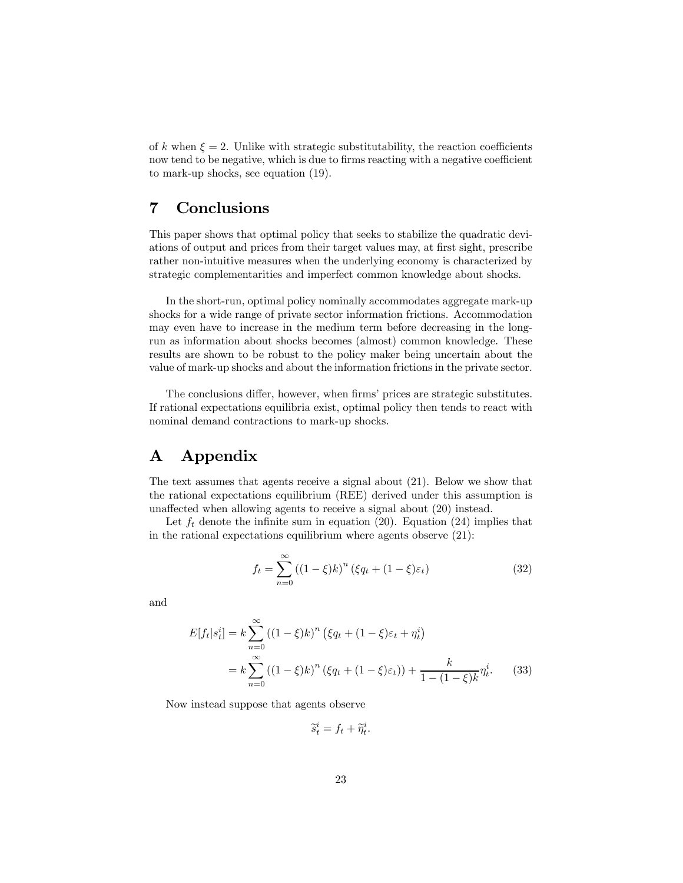of k when  $\xi = 2$ . Unlike with strategic substitutability, the reaction coefficients now tend to be negative, which is due to firms reacting with a negative coefficient to mark-up shocks, see equation (19).

## 7 Conclusions

This paper shows that optimal policy that seeks to stabilize the quadratic deviations of output and prices from their target values may, at first sight, prescribe rather non-intuitive measures when the underlying economy is characterized by strategic complementarities and imperfect common knowledge about shocks.

In the short-run, optimal policy nominally accommodates aggregate mark-up shocks for a wide range of private sector information frictions. Accommodation may even have to increase in the medium term before decreasing in the longrun as information about shocks becomes (almost) common knowledge. These results are shown to be robust to the policy maker being uncertain about the value of mark-up shocks and about the information frictions in the private sector.

The conclusions differ, however, when firms' prices are strategic substitutes. If rational expectations equilibria exist, optimal policy then tends to react with nominal demand contractions to mark-up shocks.

## A Appendix

The text assumes that agents receive a signal about (21). Below we show that the rational expectations equilibrium (REE) derived under this assumption is unaffected when allowing agents to receive a signal about (20) instead.

Let  $f_t$  denote the infinite sum in equation (20). Equation (24) implies that in the rational expectations equilibrium where agents observe (21):

$$
f_t = \sum_{n=0}^{\infty} \left( (1 - \xi)k \right)^n \left( \xi q_t + (1 - \xi) \varepsilon_t \right) \tag{32}
$$

and

$$
E[f_t|s_t^i] = k \sum_{n=0}^{\infty} ((1-\xi)k)^n (\xi q_t + (1-\xi)\varepsilon_t + \eta_t^i)
$$
  
=  $k \sum_{n=0}^{\infty} ((1-\xi)k)^n (\xi q_t + (1-\xi)\varepsilon_t) + \frac{k}{1 - (1-\xi)k} \eta_t^i.$  (33)

Now instead suppose that agents observe

 $\widetilde{s}_t^i = f_t + \widetilde{\eta}_t^i.$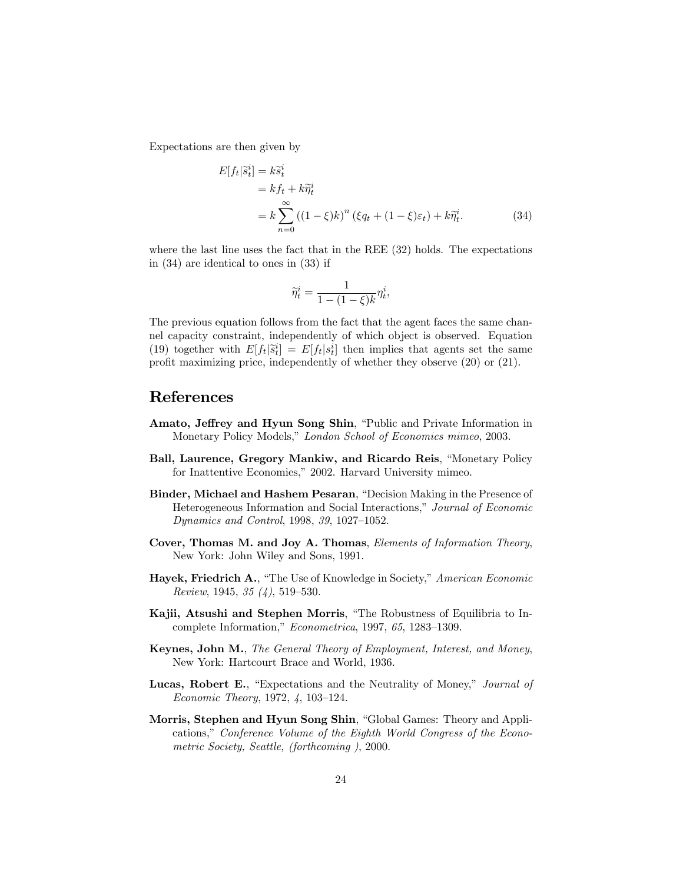Expectations are then given by

$$
E[f_t|\tilde{s}_t^i] = k\tilde{s}_t^i
$$
  
=  $kf_t + k\tilde{\eta}_t^i$   
=  $k \sum_{n=0}^{\infty} ((1-\xi)k)^n (\xi q_t + (1-\xi)\varepsilon_t) + k\tilde{\eta}_t^i.$  (34)

where the last line uses the fact that in the REE (32) holds. The expectations in (34) are identical to ones in (33) if

$$
\widetilde{\eta}_t^i = \frac{1}{1 - (1 - \xi)k} \eta_t^i,
$$

The previous equation follows from the fact that the agent faces the same channel capacity constraint, independently of which object is observed. Equation (19) together with  $E[f_t|\tilde{s}_t^i] = E[f_t|s_t^i]$  then implies that agents set the same profit maximizing price, independently of whether they observe (20) or (21).

### References

- Amato, Jeffrey and Hyun Song Shin, "Public and Private Information in Monetary Policy Models," London School of Economics mimeo, 2003.
- Ball, Laurence, Gregory Mankiw, and Ricardo Reis, "Monetary Policy for Inattentive Economies," 2002. Harvard University mimeo.
- Binder, Michael and Hashem Pesaran, "Decision Making in the Presence of Heterogeneous Information and Social Interactions," Journal of Economic Dynamics and Control, 1998, 39, 1027—1052.
- Cover, Thomas M. and Joy A. Thomas, Elements of Information Theory, New York: John Wiley and Sons, 1991.
- Hayek, Friedrich A., "The Use of Knowledge in Society," American Economic Review, 1945, 35 (4), 519—530.
- Kajii, Atsushi and Stephen Morris, "The Robustness of Equilibria to Incomplete Information," Econometrica, 1997, 65, 1283—1309.
- Keynes, John M., The General Theory of Employment, Interest, and Money, New York: Hartcourt Brace and World, 1936.
- Lucas, Robert E., "Expectations and the Neutrality of Money," Journal of Economic Theory, 1972, 4, 103—124.
- Morris, Stephen and Hyun Song Shin, "Global Games: Theory and Applications," Conference Volume of the Eighth World Congress of the Econometric Society, Seattle, (forthcoming ), 2000.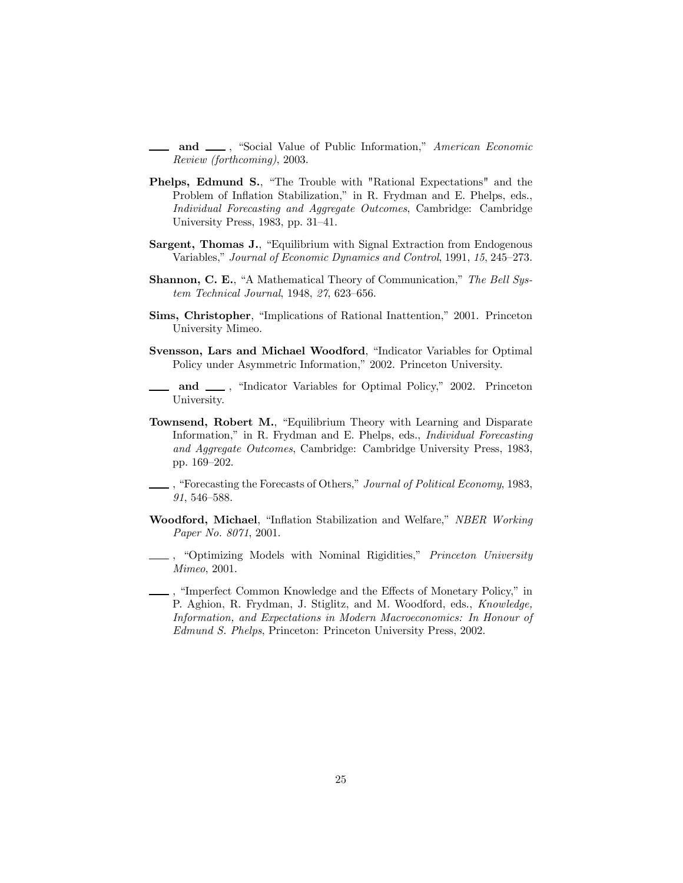and  $\_\_\$ , "Social Value of Public Information," American Economic Review (forthcoming), 2003.

- Phelps, Edmund S., "The Trouble with "Rational Expectations" and the Problem of Inflation Stabilization," in R. Frydman and E. Phelps, eds., Individual Forecasting and Aggregate Outcomes, Cambridge: Cambridge University Press, 1983, pp. 31—41.
- Sargent, Thomas J., "Equilibrium with Signal Extraction from Endogenous Variables," Journal of Economic Dynamics and Control, 1991, 15, 245—273.
- Shannon, C. E., "A Mathematical Theory of Communication," The Bell System Technical Journal, 1948, 27, 623—656.
- Sims, Christopher, "Implications of Rational Inattention," 2001. Princeton University Mimeo.
- Svensson, Lars and Michael Woodford, "Indicator Variables for Optimal Policy under Asymmetric Information," 2002. Princeton University.
- and  $\_\_\$ , "Indicator Variables for Optimal Policy," 2002. Princeton University.
- Townsend, Robert M., "Equilibrium Theory with Learning and Disparate Information," in R. Frydman and E. Phelps, eds., Individual Forecasting and Aggregate Outcomes, Cambridge: Cambridge University Press, 1983, pp. 169—202.
- , "Forecasting the Forecasts of Others," Journal of Political Economy, 1983, 91, 546—588.
- Woodford, Michael, "Inflation Stabilization and Welfare," NBER Working Paper No. 8071, 2001.
- ., "Optimizing Models with Nominal Rigidities," Princeton University Mimeo, 2001.
- , "Imperfect Common Knowledge and the Effects of Monetary Policy," in P. Aghion, R. Frydman, J. Stiglitz, and M. Woodford, eds., Knowledge, Information, and Expectations in Modern Macroeconomics: In Honour of Edmund S. Phelps, Princeton: Princeton University Press, 2002.